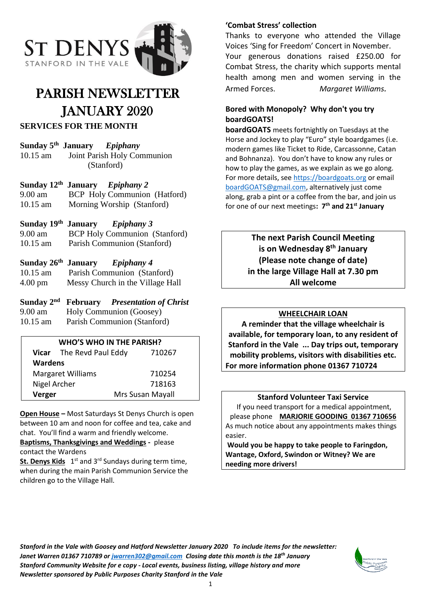

# PARISH NEWSLETTER JANUARY 2020

### **SERVICES FOR THE MONTH**

**Sunday 5 th January** *Epiphany* 10.15 am Joint Parish Holy Communion (Stanford)

#### **Sunday 12 th January** *Epiphany 2*

9.00 am BCP Holy Communion (Hatford) 10.15 am Morning Worship (Stanford)

#### **Sunday 19th January** *Epiphany 3*

9.00 am BCP Holy Communion (Stanford) 10.15 am Parish Communion (Stanford)

#### **Sunday 26 th** *Epiphany* 4

10.15 am Parish Communion (Stanford) 4.00 pm Messy Church in the Village Hall

| Sunday $2nd$ February |                         | <b>Presentation of Christ</b> |
|-----------------------|-------------------------|-------------------------------|
| $9.00 \text{ am}$     | Holy Communion (Goosey) |                               |

10.15 am Parish Communion (Stanford)

#### **WHO'S WHO IN THE PARISH?**

|                          | Vicar The Revd Paul Eddy | 710267           |  |
|--------------------------|--------------------------|------------------|--|
| <b>Wardens</b>           |                          |                  |  |
| <b>Margaret Williams</b> |                          | 710254           |  |
| Nigel Archer             |                          | 718163           |  |
| Verger                   |                          | Mrs Susan Mayall |  |

**Open House –** Most Saturdays St Denys Church is open between 10 am and noon for coffee and tea, cake and chat. You'll find a warm and friendly welcome. **Baptisms, Thanksgivings and Weddings -** please

contact the Wardens

**St. Denys Kids** 1<sup>st</sup> and 3<sup>rd</sup> Sundays during term time, when during the main Parish Communion Service the children go to the Village Hall.

#### **'Combat Stress' collection**

Thanks to everyone who attended the Village Voices 'Sing for Freedom' Concert in November. Your generous donations raised £250.00 for Combat Stress, the charity which supports mental health among men and women serving in the Armed Forces. *Margaret Williams.*

#### **Bored with Monopoly? Why don't you try boardGOATS!**

**boardGOATS** meets fortnightly on Tuesdays at the Horse and Jockey to play "Euro" style boardgames (i.e. modern games like Ticket to Ride, Carcassonne, Catan and Bohnanza). You don't have to know any rules or how to play the games, as we explain as we go along. For more details, see [https://boardgoats.org](https://boardgoats.org/) or email [boardGOATS@gmail.com,](mailto:boardGOATS@gmail.com) alternatively just come along, grab a pint or a coffee from the bar, and join us for one of our next meetings**: 7 th and 21st January**

> **The next Parish Council Meeting is on Wednesday 8 th January (Please note change of date) in the large Village Hall at 7.30 pm All welcome**

#### **WHEELCHAIR LOAN**

**A reminder that the village wheelchair is available, for temporary loan, to any resident of Stanford in the Vale ... Day trips out, temporary mobility problems, visitors with disabilities etc. For more information phone 01367 710724**

#### **Stanford Volunteer Taxi Service**

If you need transport for a medical appointment, please phone **MARJORIE GOODING 01367 710656** As much notice about any appointments makes things easier.

**Would you be happy to take people to Faringdon, Wantage, Oxford, Swindon or Witney? We are needing more drivers!**

*Stanford in the Vale with Goosey and Hatford Newsletter January 2020 To include items for the newsletter: Janet Warren 01367 710789 or [jwarren302@gmail.com](mailto:jwarren302@gmail.com) Closing date this month is the 18th January Stanford Community Website for e copy - Local events, business listing, village history and more Newsletter sponsored by Public Purposes Charity Stanford in the Vale*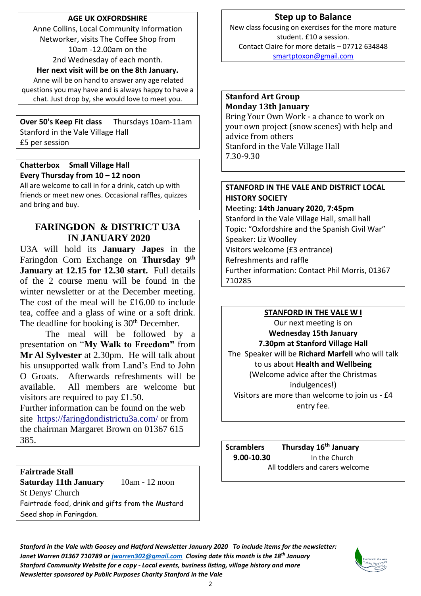#### **AGE UK OXFORDSHIRE**

Anne Collins, Local Community Information Networker, visits The Coffee Shop from 10am -12.00am on the 2nd Wednesday of each month.

**Her next visit will be on the 8th January.** Anne will be on hand to answer any age related questions you may have and is always happy to have a chat. Just drop by, she would love to meet you.

**Over 50's Keep Fit class** Thursdays 10am-11am Stanford in the Vale Village Hall £5 per session

#### **Chatterbox Small Village Hall Every Thursday from 10 – 12 noon**

All are welcome to call in for a drink, catch up with friends or meet new ones. Occasional raffles, quizzes and bring and buy.

## **FARINGDON & DISTRICT U3A IN JANUARY 2020**

U3A will hold its **January Japes** in the Faringdon Corn Exchange on **Thursday 9th January at 12.15 for 12.30 start.** Full details of the 2 course menu will be found in the winter newsletter or at the December meeting. The cost of the meal will be £16.00 to include tea, coffee and a glass of wine or a soft drink. The deadline for booking is  $30<sup>th</sup>$  December.

The meal will be followed by a presentation on "**My Walk to Freedom"** from **Mr Al Sylvester** at 2.30pm. He will talk about his unsupported walk from Land's End to John O Groats. Afterwards refreshments will be available. All members are welcome but visitors are required to pay £1.50.

Further information can be found on the web site <https://faringdondistrictu3a.com/> or from the chairman Margaret Brown on 01367 615 385.

#### **Fairtrade Stall**

**Saturday 11th January** 10am - 12 noon St Denys' Church Fairtrade food, drink and gifts from the Mustard Seed shop in Faringdon.

## **Step up to Balance**

New class focusing on exercises for the more mature student. £10 a session. Contact Claire for more details – 07712 634848 [smartptoxon@gmail.com](mailto:smartptoxon@gmail.com)

#### **Stanford Art Group Monday 13th January**

Bring Your Own Work - a chance to work on your own project (snow scenes) with help and advice from others Stanford in the Vale Village Hall 7.30-9.30

#### **STANFORD IN THE VALE AND DISTRICT LOCAL HISTORY SOCIETY**

Meeting: **14th January 2020, 7:45pm** Stanford in the Vale Village Hall, small hall Topic: "Oxfordshire and the Spanish Civil War" Speaker: Liz Woolley Visitors welcome (£3 entrance) Refreshments and raffle Further information: Contact Phil Morris, 01367 710285

#### **STANFORD IN THE VALE W I**

Our next meeting is on **Wednesday 15th January 7.30pm at Stanford Village Hall** The Speaker will be **Richard Marfell** who will talk to us about **Health and Wellbeing** (Welcome advice after the Christmas indulgences!) Visitors are more than welcome to join us - £4 entry fee.

**Scramblers Thursday 16th January 9.00-10.30** In the Church All toddlers and carers welcome

*Stanford in the Vale with Goosey and Hatford Newsletter January 2020 To include items for the newsletter: Janet Warren 01367 710789 or [jwarren302@gmail.com](mailto:jwarren302@gmail.com) Closing date this month is the 18th January Stanford Community Website for e copy - Local events, business listing, village history and more Newsletter sponsored by Public Purposes Charity Stanford in the Vale*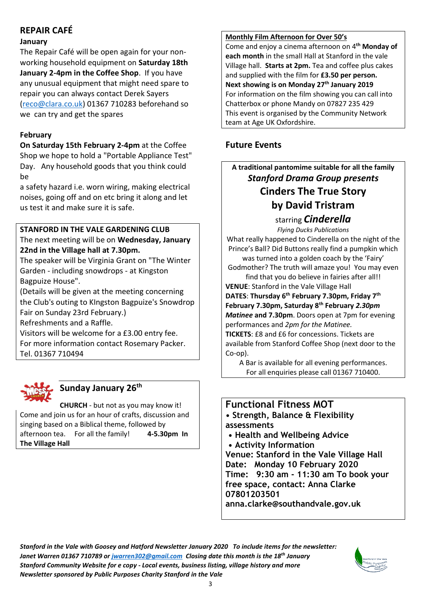## **REPAIR CAFÉ**

#### **January**

The Repair Café will be open again for your nonworking household equipment on **Saturday 18th January 2-4pm in the Coffee Shop**. If you have any unusual equipment that might need spare to repair you can always contact Derek Sayers [\(reco@clara.co.uk\)](mailto:reco@clara.co.uk) 01367 710283 beforehand so we can try and get the spares

## **February**

**On Saturday 15th February 2-4pm** at the Coffee Shop we hope to hold a "Portable Appliance Test" Day. Any household goods that you think could be

a safety hazard i.e. worn wiring, making electrical noises, going off and on etc bring it along and let us test it and make sure it is safe.

## **STANFORD IN THE VALE GARDENING CLUB**

The next meeting will be on **Wednesday, January 22nd in the Village hall at 7.30pm.**

The speaker will be Virginia Grant on "The Winter Garden - including snowdrops - at Kingston Bagpuize House".

(Details will be given at the meeting concerning the Club's outing to KIngston Bagpuize's Snowdrop Fair on Sunday 23rd February.)

Refreshments and a Raffle.

Visitors will be welcome for a £3.00 entry fee. For more information contact Rosemary Packer. Tel. 01367 710494



## **Sunday January 26 th**

**CHURCH** - but not as you may know it! Come and join us for an hour of crafts, discussion and singing based on a Biblical theme, followed by afternoon tea. For all the family! **4-5.30pm In The Village Hall**

#### **Monthly Film Afternoon for Over 50's**

Come and enjoy a cinema afternoon on 4**th Monday of each month** in the small Hall at Stanford in the vale Village hall. **Starts at 2pm.** Tea and coffee plus cakes and supplied with the film for **£3.50 per person. Next showing is on Monday 27 th January 2019** For information on the film showing you can call into Chatterbox or phone Mandy on 07827 235 429 This event is organised by the Community Network team at Age UK Oxfordshire.

## **Future Events**

## **A traditional pantomime suitable for all the family** *Stanford Drama Group presents* **Cinders The True Story by David Tristram**

starring *Cinderella*

*Flying Ducks Publications* What really happened to Cinderella on the night of the Prince's Ball? Did Buttons really find a pumpkin which

was turned into a golden coach by the 'Fairy' Godmother? The truth will amaze you! You may even

find that you do believe in fairies after all!! **VENUE**: Stanford in the Vale Village Hall

**DATES**: **Thursday 6th February 7.30pm, Friday 7th February 7.30pm, Saturday 8th February** *2.30pm Matinee* **and 7.30pm**. Doors open at 7pm for evening performances and *2pm for the Matinee.* 

**TICKETS**: £8 and £6 for concessions. Tickets are available from Stanford Coffee Shop (next door to the Co-op).

A Bar is available for all evening performances. For all enquiries please call 01367 710400.

## **Functional Fitness MOT**

**• Strength, Balance & Flexibility assessments** 

- **Health and Wellbeing Advice**
- **Activity Information**

**Venue: Stanford in the Vale Village Hall Date: Monday 10 February 2020 Time: 9:30 am - 11:30 am To book your free space, contact: Anna Clarke 07801203501 anna.clarke@southandvale.gov.uk**